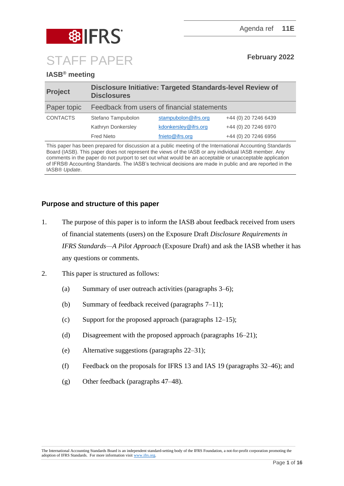

## **IASB® meeting**

| <b>Project</b>  | <b>Disclosure Initiative: Targeted Standards-level Review of</b><br><b>Disclosures</b> |                      |                      |
|-----------------|----------------------------------------------------------------------------------------|----------------------|----------------------|
| Paper topic     | Feedback from users of financial statements                                            |                      |                      |
| <b>CONTACTS</b> | Stefano Tampubolon                                                                     | stampubolon@ifrs.org | +44 (0) 20 7246 6439 |
|                 | Kathryn Donkersley                                                                     | kdonkersley@ifrs.org | +44 (0) 20 7246 6970 |
|                 | <b>Fred Nieto</b>                                                                      | fnieto@ifrs.org      | +44 (0) 20 7246 6956 |

This paper has been prepared for discussion at a public meeting of the International Accounting Standards Board (IASB). This paper does not represent the views of the IASB or any individual IASB member. Any comments in the paper do not purport to set out what would be an acceptable or unacceptable application of IFRS® Accounting Standards. The IASB's technical decisions are made in public and are reported in the IASB® *Update*.

## **Purpose and structure of this paper**

- 1. The purpose of this paper is to inform the IASB about feedback received from users of financial statements (users) on the Exposure Draft *Disclosure Requirements in IFRS Standards—A Pilot Approach* (Exposure Draft) and ask the IASB whether it has any questions or comments.
- 2. This paper is structured as follows:
	- (a) Summary of user outreach activities (paragraphs [3–](#page-1-0)[6\)](#page-3-0);
	- (b) Summary of feedback received (paragraphs [7](#page-3-1)[–11\)](#page-4-0);
	- (c) Support for the proposed approach (paragraphs [12](#page-4-1)[–15\)](#page-5-0);
	- (d) Disagreement with the proposed approach (paragraphs [16](#page-5-1)[–21\)](#page-7-0);
	- (e) Alternative suggestions (paragraphs [22](#page-8-0)[–31\)](#page-10-0);
	- (f) Feedback on the proposals for IFRS 13 and IAS 19 (paragraphs [32](#page-11-0)[–46\)](#page-14-0); and
	- (g) Other feedback (paragraphs [47](#page-15-0)[–48\)](#page-15-1).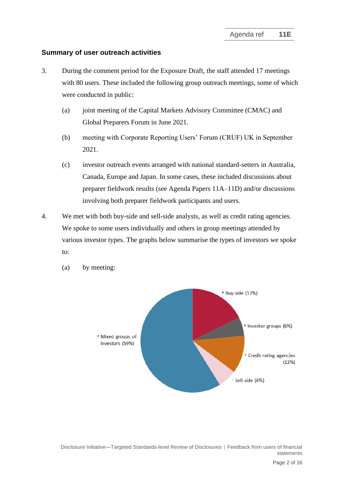### **Summary of user outreach activities**

- <span id="page-1-0"></span>3. During the comment period for the Exposure Draft, the staff attended 17 meetings with 80 users. These included the following group outreach meetings, some of which were conducted in public:
	- (a) joint meeting of the Capital Markets Advisory Committee (CMAC) and Global Preparers Forum in June 2021.
	- (b) meeting with Corporate Reporting Users' Forum (CRUF) UK in September 2021.
	- (c) investor outreach events arranged with national standard-setters in Australia, Canada, Europe and Japan. In some cases, these included discussions about preparer fieldwork results (see Agenda Papers 11A–11D) and/or discussions involving both preparer fieldwork participants and users.
- 4. We met with both buy-side and sell-side analysts, as well as credit rating agencies. We spoke to some users individually and others in group meetings attended by various investor types. The graphs below summarise the types of investors we spoke to:



(a) by meeting: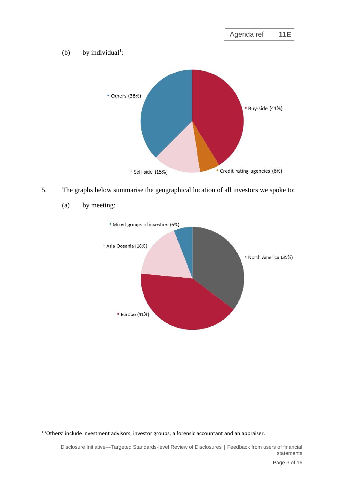

5. The graphs below summarise the geographical location of all investors we spoke to:



(a) by meeting:

<sup>1</sup> 'Others' include investment advisors, investor groups, a forensic accountant and an appraiser.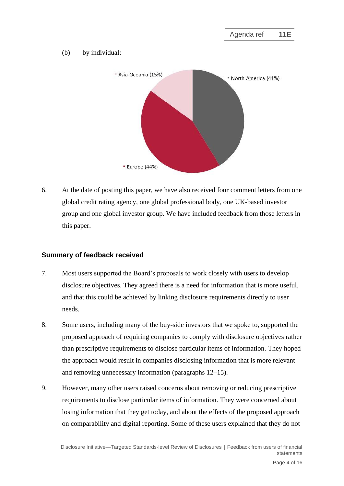#### (b) by individual:



<span id="page-3-0"></span>6. At the date of posting this paper, we have also received four comment letters from one global credit rating agency, one global professional body, one UK-based investor group and one global investor group. We have included feedback from those letters in this paper.

### **Summary of feedback received**

- <span id="page-3-1"></span>7. Most users supported the Board's proposals to work closely with users to develop disclosure objectives. They agreed there is a need for information that is more useful, and that this could be achieved by linking disclosure requirements directly to user needs.
- 8. Some users, including many of the buy-side investors that we spoke to, supported the proposed approach of requiring companies to comply with disclosure objectives rather than prescriptive requirements to disclose particular items of information. They hoped the approach would result in companies disclosing information that is more relevant and removing unnecessary information (paragraphs [12](#page-4-1)[–15\)](#page-5-0).
- 9. However, many other users raised concerns about removing or reducing prescriptive requirements to disclose particular items of information. They were concerned about losing information that they get today, and about the effects of the proposed approach on comparability and digital reporting. Some of these users explained that they do not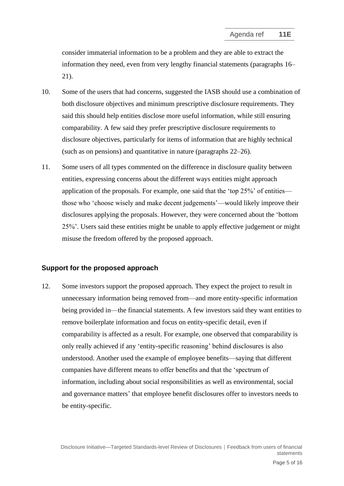consider immaterial information to be a problem and they are able to extract the information they need, even from very lengthy financial statements (paragraphs [16–](#page-5-1) [21\)](#page-7-0).

- 10. Some of the users that had concerns, suggested the IASB should use a combination of both disclosure objectives and minimum prescriptive disclosure requirements. They said this should help entities disclose more useful information, while still ensuring comparability. A few said they prefer prescriptive disclosure requirements to disclosure objectives, particularly for items of information that are highly technical (such as on pensions) and quantitative in nature (paragraphs [22–](#page-8-0)[26\)](#page-9-0).
- <span id="page-4-0"></span>11. Some users of all types commented on the difference in disclosure quality between entities, expressing concerns about the different ways entities might approach application of the proposals. For example, one said that the 'top 25%' of entities those who 'choose wisely and make decent judgements'—would likely improve their disclosures applying the proposals. However, they were concerned about the 'bottom 25%'. Users said these entities might be unable to apply effective judgement or might misuse the freedom offered by the proposed approach.

#### **Support for the proposed approach**

<span id="page-4-1"></span>12. Some investors support the proposed approach. They expect the project to result in unnecessary information being removed from—and more entity-specific information being provided in—the financial statements. A few investors said they want entities to remove boilerplate information and focus on entity-specific detail, even if comparability is affected as a result. For example, one observed that comparability is only really achieved if any 'entity-specific reasoning' behind disclosures is also understood. Another used the example of employee benefits—saying that different companies have different means to offer benefits and that the 'spectrum of information, including about social responsibilities as well as environmental, social and governance matters' that employee benefit disclosures offer to investors needs to be entity-specific.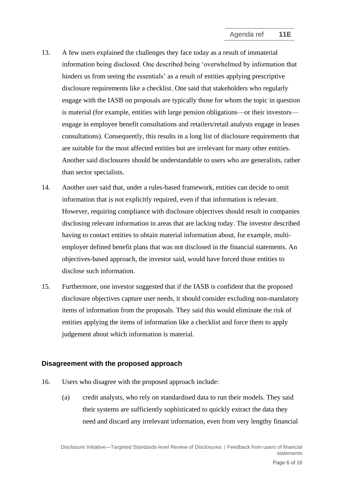- 13. A few users explained the challenges they face today as a result of immaterial information being disclosed. One described being 'overwhelmed by information that hinders us from seeing the essentials' as a result of entities applying prescriptive disclosure requirements like a checklist. One said that stakeholders who regularly engage with the IASB on proposals are typically those for whom the topic in question is material (for example, entities with large pension obligations—or their investors engage in employee benefit consultations and retailers/retail analysts engage in leases consultations). Consequently, this results in a long list of disclosure requirements that are suitable for the most affected entities but are irrelevant for many other entities. Another said disclosures should be understandable to users who are generalists, rather than sector specialists.
- 14. Another user said that, under a rules-based framework, entities can decide to omit information that is not explicitly required, even if that information is relevant. However, requiring compliance with disclosure objectives should result in companies disclosing relevant information in areas that are lacking today. The investor described having to contact entities to obtain material information about, for example, multiemployer defined benefit plans that was not disclosed in the financial statements. An objectives-based approach, the investor said, would have forced those entities to disclose such information.
- <span id="page-5-0"></span>15. Furthermore, one investor suggested that if the IASB is confident that the proposed disclosure objectives capture user needs, it should consider excluding non-mandatory items of information from the proposals. They said this would eliminate the risk of entities applying the items of information like a checklist and force them to apply judgement about which information is material.

### **Disagreement with the proposed approach**

- <span id="page-5-1"></span>16. Users who disagree with the proposed approach include:
	- (a) credit analysts, who rely on standardised data to run their models. They said their systems are sufficiently sophisticated to quickly extract the data they need and discard any irrelevant information, even from very lengthy financial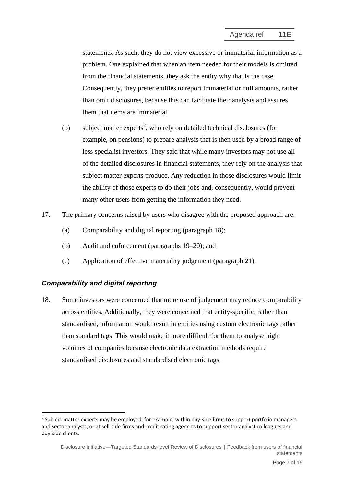statements. As such, they do not view excessive or immaterial information as a problem. One explained that when an item needed for their models is omitted from the financial statements, they ask the entity why that is the case. Consequently, they prefer entities to report immaterial or null amounts, rather than omit disclosures, because this can facilitate their analysis and assures them that items are immaterial.

- <span id="page-6-1"></span>(b) subject matter experts<sup>2</sup>, who rely on detailed technical disclosures (for example, on pensions) to prepare analysis that is then used by a broad range of less specialist investors. They said that while many investors may not use all of the detailed disclosures in financial statements, they rely on the analysis that subject matter experts produce. Any reduction in those disclosures would limit the ability of those experts to do their jobs and, consequently, would prevent many other users from getting the information they need.
- 17. The primary concerns raised by users who disagree with the proposed approach are:
	- (a) Comparability and digital reporting (paragraph [18\)](#page-6-0);
	- (b) Audit and enforcement (paragraphs [19](#page-7-1)[–20\)](#page-7-2); and
	- (c) Application of effective materiality judgement (paragraph [21\)](#page-7-0).

### *Comparability and digital reporting*

<span id="page-6-0"></span>18. Some investors were concerned that more use of judgement may reduce comparability across entities. Additionally, they were concerned that entity-specific, rather than standardised, information would result in entities using custom electronic tags rather than standard tags. This would make it more difficult for them to analyse high volumes of companies because electronic data extraction methods require standardised disclosures and standardised electronic tags.

<sup>&</sup>lt;sup>2</sup> Subject matter experts may be employed, for example, within buy-side firms to support portfolio managers and sector analysts, or at sell-side firms and credit rating agencies to support sector analyst colleagues and buy-side clients.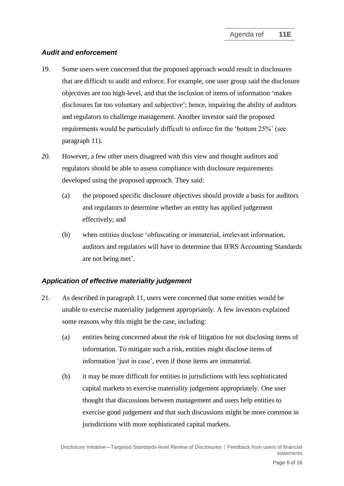## *Audit and enforcement*

- <span id="page-7-1"></span>19. Some users were concerned that the proposed approach would result in disclosures that are difficult to audit and enforce. For example, one user group said the disclosure objectives are too high-level, and that the inclusion of items of information 'makes disclosures far too voluntary and subjective'; hence, impairing the ability of auditors and regulators to challenge management. Another investor said the proposed requirements would be particularly difficult to enforce for the 'bottom 25%' (see paragraph [11\)](#page-4-0).
- <span id="page-7-2"></span>20. However, a few other users disagreed with this view and thought auditors and regulators should be able to assess compliance with disclosure requirements developed using the proposed approach. They said:
	- (a) the proposed specific disclosure objectives should provide a basis for auditors and regulators to determine whether an entity has applied judgement effectively; and
	- (b) when entities disclose 'obfuscating or immaterial, irrelevant information, auditors and regulators will have to determine that IFRS Accounting Standards are not being met'.

# *Application of effective materiality judgement*

- <span id="page-7-0"></span>21. As described in paragraph [11,](#page-4-0) users were concerned that some entities would be unable to exercise materiality judgement appropriately. A few investors explained some reasons why this might be the case, including:
	- (a) entities being concerned about the risk of litigation for not disclosing items of information. To mitigate such a risk, entities might disclose items of information 'just in case', even if those items are immaterial.
	- (b) it may be more difficult for entities in jurisdictions with less sophisticated capital markets to exercise materiality judgement appropriately. One user thought that discussions between management and users help entities to exercise good judgement and that such discussions might be more common in jurisdictions with more sophisticated capital markets.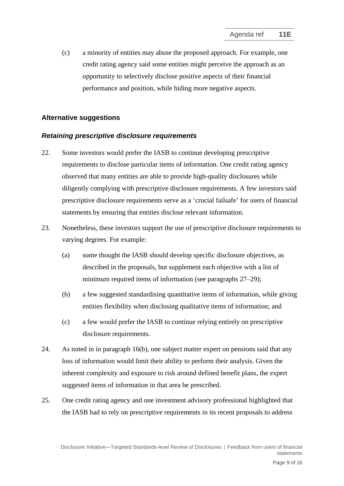(c) a minority of entities may abuse the proposed approach. For example, one credit rating agency said some entities might perceive the approach as an opportunity to selectively disclose positive aspects of their financial performance and position, while hiding more negative aspects.

## **Alternative suggestions**

### *Retaining prescriptive disclosure requirements*

- <span id="page-8-0"></span>22. Some investors would prefer the IASB to continue developing prescriptive requirements to disclose particular items of information. One credit rating agency observed that many entities are able to provide high-quality disclosures while diligently complying with prescriptive disclosure requirements. A few investors said prescriptive disclosure requirements serve as a 'crucial failsafe' for users of financial statements by ensuring that entities disclose relevant information.
- 23. Nonetheless, these investors support the use of prescriptive disclosure requirements to varying degrees. For example:
	- (a) some thought the IASB should develop specific disclosure objectives, as described in the proposals, but supplement each objective with a list of minimum required items of information (see paragraphs [27](#page-9-1)[–29\)](#page-9-2);
	- (b) a few suggested standardising quantitative items of information, while giving entities flexibility when disclosing qualitative items of information; and
	- (c) a few would prefer the IASB to continue relying entirely on prescriptive disclosure requirements.
- 24. As noted in in paragraph [16\(b\),](#page-6-1) one subject matter expert on pensions said that any loss of information would limit their ability to perform their analysis. Given the inherent complexity and exposure to risk around defined benefit plans, the expert suggested items of information in that area be prescribed.
- 25. One credit rating agency and one investment advisory professional highlighted that the IASB had to rely on prescriptive requirements in its recent proposals to address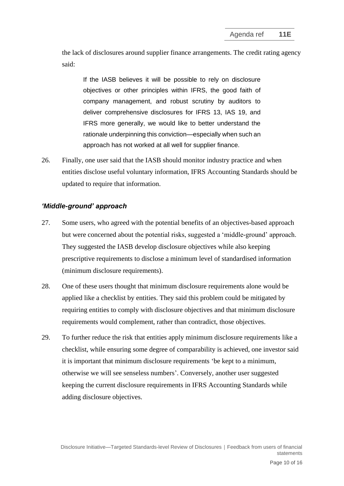the lack of disclosures around supplier finance arrangements. The credit rating agency said:

If the IASB believes it will be possible to rely on disclosure objectives or other principles within IFRS, the good faith of company management, and robust scrutiny by auditors to deliver comprehensive disclosures for IFRS 13, IAS 19, and IFRS more generally, we would like to better understand the rationale underpinning this conviction—especially when such an approach has not worked at all well for supplier finance.

<span id="page-9-0"></span>26. Finally, one user said that the IASB should monitor industry practice and when entities disclose useful voluntary information, IFRS Accounting Standards should be updated to require that information.

### *'Middle-ground' approach*

- <span id="page-9-1"></span>27. Some users, who agreed with the potential benefits of an objectives-based approach but were concerned about the potential risks, suggested a 'middle-ground' approach. They suggested the IASB develop disclosure objectives while also keeping prescriptive requirements to disclose a minimum level of standardised information (minimum disclosure requirements).
- 28. One of these users thought that minimum disclosure requirements alone would be applied like a checklist by entities. They said this problem could be mitigated by requiring entities to comply with disclosure objectives and that minimum disclosure requirements would complement, rather than contradict, those objectives.
- <span id="page-9-2"></span>29. To further reduce the risk that entities apply minimum disclosure requirements like a checklist, while ensuring some degree of comparability is achieved, one investor said it is important that minimum disclosure requirements 'be kept to a minimum, otherwise we will see senseless numbers'. Conversely, another user suggested keeping the current disclosure requirements in IFRS Accounting Standards while adding disclosure objectives.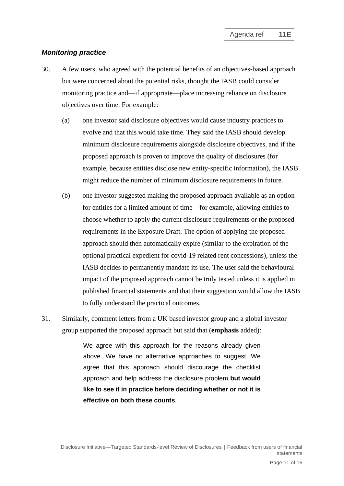#### *Monitoring practice*

- 30. A few users, who agreed with the potential benefits of an objectives-based approach but were concerned about the potential risks, thought the IASB could consider monitoring practice and—if appropriate—place increasing reliance on disclosure objectives over time. For example:
	- (a) one investor said disclosure objectives would cause industry practices to evolve and that this would take time. They said the IASB should develop minimum disclosure requirements alongside disclosure objectives, and if the proposed approach is proven to improve the quality of disclosures (for example, because entities disclose new entity-specific information), the IASB might reduce the number of minimum disclosure requirements in future.
	- (b) one investor suggested making the proposed approach available as an option for entities for a limited amount of time—for example, allowing entities to choose whether to apply the current disclosure requirements or the proposed requirements in the Exposure Draft. The option of applying the proposed approach should then automatically expire (similar to the expiration of the optional practical expedient for covid-19 related rent concessions), unless the IASB decides to permanently mandate its use. The user said the behavioural impact of the proposed approach cannot be truly tested unless it is applied in published financial statements and that their suggestion would allow the IASB to fully understand the practical outcomes.
- <span id="page-10-0"></span>31. Similarly, comment letters from a UK based investor group and a global investor group supported the proposed approach but said that (**emphasis** added):

We agree with this approach for the reasons already given above. We have no alternative approaches to suggest. We agree that this approach should discourage the checklist approach and help address the disclosure problem **but would like to see it in practice before deciding whether or not it is effective on both these counts**.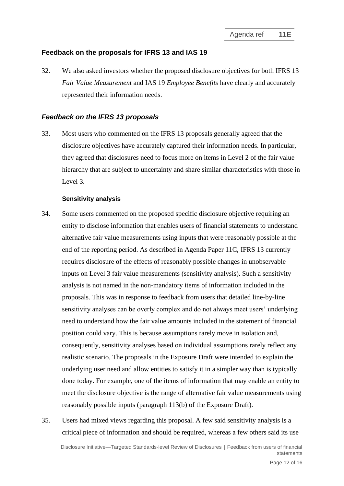### **Feedback on the proposals for IFRS 13 and IAS 19**

<span id="page-11-0"></span>32. We also asked investors whether the proposed disclosure objectives for both IFRS 13 *Fair Value Measurement* and IAS 19 *Employee Benefits* have clearly and accurately represented their information needs.

#### *Feedback on the IFRS 13 proposals*

33. Most users who commented on the IFRS 13 proposals generally agreed that the disclosure objectives have accurately captured their information needs. In particular, they agreed that disclosures need to focus more on items in Level 2 of the fair value hierarchy that are subject to uncertainty and share similar characteristics with those in Level 3.

#### **Sensitivity analysis**

- <span id="page-11-1"></span>34. Some users commented on the proposed specific disclosure objective requiring an entity to disclose information that enables users of financial statements to understand alternative fair value measurements using inputs that were reasonably possible at the end of the reporting period. As described in Agenda Paper 11C, IFRS 13 currently requires disclosure of the effects of reasonably possible changes in unobservable inputs on Level 3 fair value measurements (sensitivity analysis). Such a sensitivity analysis is not named in the non-mandatory items of information included in the proposals. This was in response to feedback from users that detailed line-by-line sensitivity analyses can be overly complex and do not always meet users' underlying need to understand how the fair value amounts included in the statement of financial position could vary. This is because assumptions rarely move in isolation and, consequently, sensitivity analyses based on individual assumptions rarely reflect any realistic scenario. The proposals in the Exposure Draft were intended to explain the underlying user need and allow entities to satisfy it in a simpler way than is typically done today. For example, one of the items of information that may enable an entity to meet the disclosure objective is the range of alternative fair value measurements using reasonably possible inputs (paragraph 113(b) of the Exposure Draft).
- 35. Users had mixed views regarding this proposal. A few said sensitivity analysis is a critical piece of information and should be required, whereas a few others said its use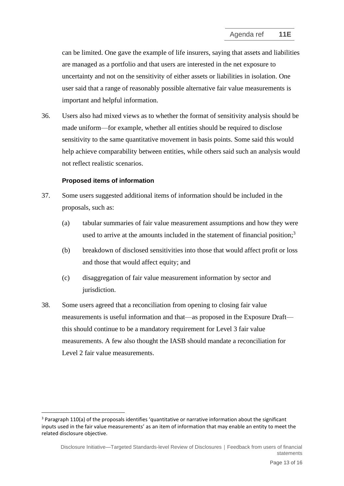can be limited. One gave the example of life insurers, saying that assets and liabilities are managed as a portfolio and that users are interested in the net exposure to uncertainty and not on the sensitivity of either assets or liabilities in isolation. One user said that a range of reasonably possible alternative fair value measurements is important and helpful information.

36. Users also had mixed views as to whether the format of sensitivity analysis should be made uniform—for example, whether all entities should be required to disclose sensitivity to the same quantitative movement in basis points. Some said this would help achieve comparability between entities, while others said such an analysis would not reflect realistic scenarios.

#### **Proposed items of information**

- 37. Some users suggested additional items of information should be included in the proposals, such as:
	- (a) tabular summaries of fair value measurement assumptions and how they were used to arrive at the amounts included in the statement of financial position; $3$
	- (b) breakdown of disclosed sensitivities into those that would affect profit or loss and those that would affect equity; and
	- (c) disaggregation of fair value measurement information by sector and jurisdiction.
- 38. Some users agreed that a reconciliation from opening to closing fair value measurements is useful information and that—as proposed in the Exposure Draft this should continue to be a mandatory requirement for Level 3 fair value measurements. A few also thought the IASB should mandate a reconciliation for Level 2 fair value measurements.

<sup>&</sup>lt;sup>3</sup> Paragraph 110(a) of the proposals identifies 'quantitative or narrative information about the significant inputs used in the fair value measurements' as an item of information that may enable an entity to meet the related disclosure objective.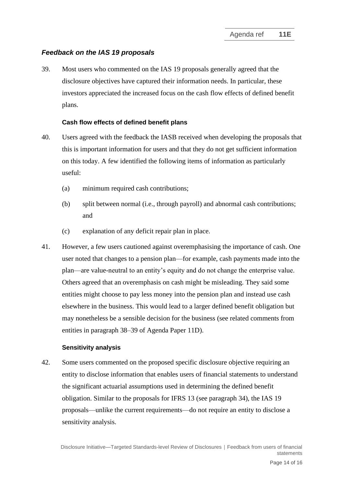## *Feedback on the IAS 19 proposals*

39. Most users who commented on the IAS 19 proposals generally agreed that the disclosure objectives have captured their information needs. In particular, these investors appreciated the increased focus on the cash flow effects of defined benefit plans.

#### **Cash flow effects of defined benefit plans**

- 40. Users agreed with the feedback the IASB received when developing the proposals that this is important information for users and that they do not get sufficient information on this today. A few identified the following items of information as particularly useful:
	- (a) minimum required cash contributions;
	- (b) split between normal (i.e., through payroll) and abnormal cash contributions; and
	- (c) explanation of any deficit repair plan in place.
- 41. However, a few users cautioned against overemphasising the importance of cash. One user noted that changes to a pension plan—for example, cash payments made into the plan—are value-neutral to an entity's equity and do not change the enterprise value. Others agreed that an overemphasis on cash might be misleading. They said some entities might choose to pay less money into the pension plan and instead use cash elsewhere in the business. This would lead to a larger defined benefit obligation but may nonetheless be a sensible decision for the business (see related comments from entities in paragraph 38–39 of Agenda Paper 11D).

#### **Sensitivity analysis**

42. Some users commented on the proposed specific disclosure objective requiring an entity to disclose information that enables users of financial statements to understand the significant actuarial assumptions used in determining the defined benefit obligation. Similar to the proposals for IFRS 13 (see paragraph [34\)](#page-11-1), the IAS 19 proposals—unlike the current requirements—do not require an entity to disclose a sensitivity analysis.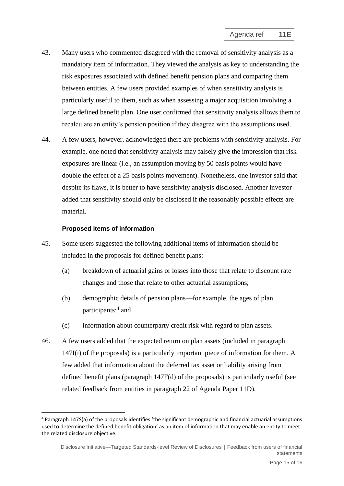- 43. Many users who commented disagreed with the removal of sensitivity analysis as a mandatory item of information. They viewed the analysis as key to understanding the risk exposures associated with defined benefit pension plans and comparing them between entities. A few users provided examples of when sensitivity analysis is particularly useful to them, such as when assessing a major acquisition involving a large defined benefit plan. One user confirmed that sensitivity analysis allows them to recalculate an entity's pension position if they disagree with the assumptions used.
- 44. A few users, however, acknowledged there are problems with sensitivity analysis. For example, one noted that sensitivity analysis may falsely give the impression that risk exposures are linear (i.e., an assumption moving by 50 basis points would have double the effect of a 25 basis points movement). Nonetheless, one investor said that despite its flaws, it is better to have sensitivity analysis disclosed. Another investor added that sensitivity should only be disclosed if the reasonably possible effects are material.

#### **Proposed items of information**

- 45. Some users suggested the following additional items of information should be included in the proposals for defined benefit plans:
	- (a) breakdown of actuarial gains or losses into those that relate to discount rate changes and those that relate to other actuarial assumptions;
	- (b) demographic details of pension plans—for example, the ages of plan participants; 4 and
	- (c) information about counterparty credit risk with regard to plan assets.
- <span id="page-14-0"></span>46. A few users added that the expected return on plan assets (included in paragraph 147I(i) of the proposals) is a particularly important piece of information for them. A few added that information about the deferred tax asset or liability arising from defined benefit plans (paragraph 147F(d) of the proposals) is particularly useful (see related feedback from entities in paragraph 22 of Agenda Paper 11D).

<sup>4</sup> Paragraph 147S(a) of the proposals identifies 'the significant demographic and financial actuarial assumptions used to determine the defined benefit obligation' as an item of information that may enable an entity to meet the related disclosure objective.